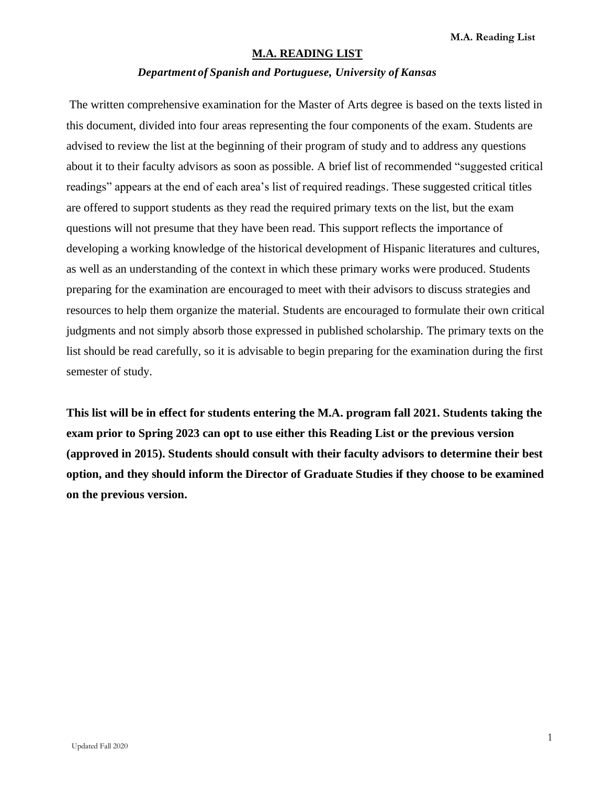## **M.A. READING LIST**

#### *Department of Spanish and Portuguese, University of Kansas*

The written comprehensive examination for the Master of Arts degree is based on the texts listed in this document, divided into four areas representing the four components of the exam. Students are advised to review the list at the beginning of their program of study and to address any questions about it to their faculty advisors as soon as possible. A brief list of recommended "suggested critical readings" appears at the end of each area's list of required readings. These suggested critical titles are offered to support students as they read the required primary texts on the list, but the exam questions will not presume that they have been read. This support reflects the importance of developing a working knowledge of the historical development of Hispanic literatures and cultures, as well as an understanding of the context in which these primary works were produced. Students preparing for the examination are encouraged to meet with their advisors to discuss strategies and resources to help them organize the material. Students are encouraged to formulate their own critical judgments and not simply absorb those expressed in published scholarship. The primary texts on the list should be read carefully, so it is advisable to begin preparing for the examination during the first semester of study.

**This list will be in effect for students entering the M.A. program fall 2021. Students taking the exam prior to Spring 2023 can opt to use either this Reading List or the previous version (approved in 2015). Students should consult with their faculty advisors to determine their best option, and they should inform the Director of Graduate Studies if they choose to be examined on the previous version.**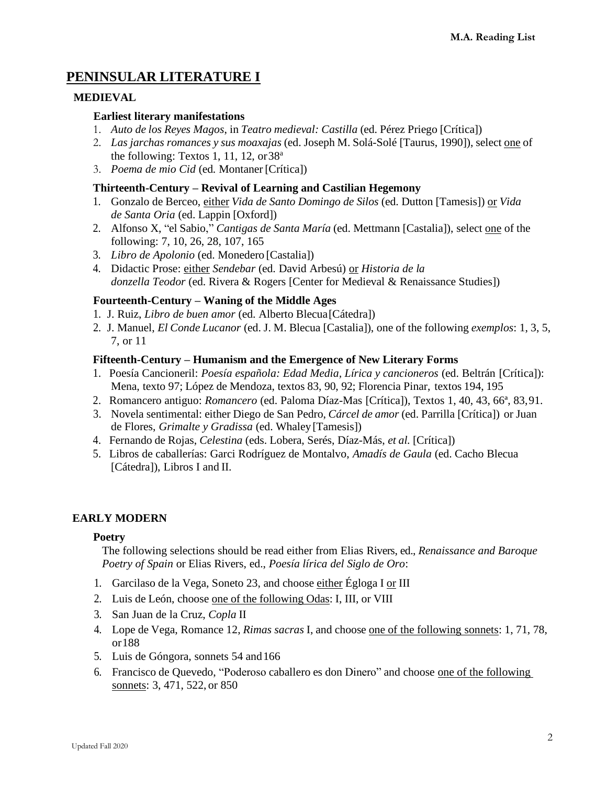# **PENINSULAR LITERATURE I**

## **MEDIEVAL**

## **Earliest literary manifestations**

- 1. *Auto de los Reyes Magos*, in *Teatro medieval: Castilla* (ed. Pérez Priego [Crítica])
- 2. *Las jarchas romances y sus moaxajas* (ed. Joseph M. Solá-Solé [Taurus, 1990]), select one of the following: Textos 1, 11, 12, or  $38<sup>a</sup>$
- 3. *Poema de mio Cid* (ed*.* Montaner [Crítica])

## **Thirteenth-Century – Revival of Learning and Castilian Hegemony**

- 1. Gonzalo de Berceo, either *Vida de Santo Domingo de Silos* (ed. Dutton [Tamesis]) or *Vida de Santa Oria* (ed. Lappin [Oxford])
- 2. Alfonso X, "el Sabio," *Cantigas de Santa María* (ed. Mettmann [Castalia]), select one of the following: 7, 10, 26, 28, 107, 165
- 3. *Libro de Apolonio* (ed. Monedero [Castalia])
- 4. Didactic Prose: either *Sendebar* (ed. David Arbesú) or *Historia de la donzella Teodor* (ed. Rivera & Rogers [Center for Medieval & Renaissance Studies])

## **Fourteenth-Century – Waning of the Middle Ages**

- 1. J. Ruiz, *Libro de buen amor* (ed. Alberto Blecua[Cátedra])
- 2. J. Manuel, *El Conde Lucanor* (ed. J. M. Blecua [Castalia]), one of the following *exemplos*: 1, 3, 5, 7, or 11

## **Fifteenth-Century – Humanism and the Emergence of New Literary Forms**

- 1. Poesía Cancioneril: *Poesía española: Edad Media, Lírica y cancioneros* (ed. Beltrán [Crítica]): Mena, texto 97; López de Mendoza, textos 83, 90, 92; Florencia Pinar, textos 194, 195
- 2. Romancero antiguo: *Romancero* (ed. Paloma Díaz-Mas [Crítica]), Textos 1, 40, 43, 66ª, 83,91.
- 3. Novela sentimental: either Diego de San Pedro, *Cárcel de amor* (ed. Parrilla [Crítica]) or Juan de Flores, *Grimalte y Gradissa* (ed. Whaley [Tamesis])
- 4. Fernando de Rojas, *Celestina* (eds. Lobera, Serés, Díaz-Más, *et al.* [Crítica])
- 5. Libros de caballerías: Garci Rodríguez de Montalvo, *Amadís de Gaula* (ed. Cacho Blecua [Cátedra]), Libros I and II.

## **EARLY MODERN**

## **Poetry**

The following selections should be read either from Elias Rivers, ed., *Renaissance and Baroque Poetry of Spain* or Elias Rivers, ed., *Poesía lírica del Siglo de Oro*:

- 1. Garcilaso de la Vega, Soneto 23, and choose either Égloga I or III
- 2. Luis de León, choose one of the following Odas: I, III, or VIII
- 3. San Juan de la Cruz, *Copla* II
- 4. Lope de Vega, Romance 12, *Rimas sacras* I, and choose one of the following sonnets: 1, 71, 78, or188
- 5. Luis de Góngora, sonnets 54 and166
- 6. Francisco de Quevedo, "Poderoso caballero es don Dinero" and choose one of the following sonnets: 3, 471, 522, or 850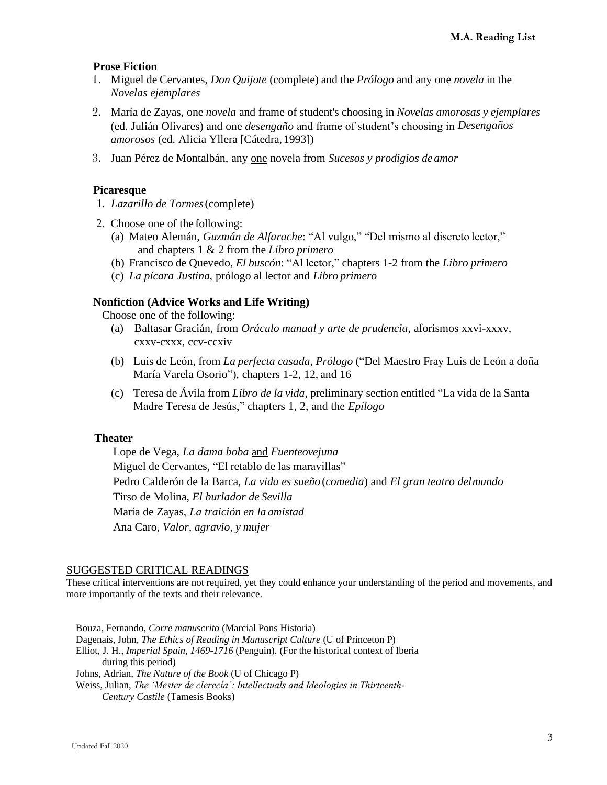### **Prose Fiction**

- 1. Miguel de Cervantes, *Don Quijote* (complete) and the *Prólogo* and any one *novela* in the *Novelas ejemplares*
- 2. María de Zayas, one *novela* and frame of student's choosing in *Novelas amorosas y ejemplares*  (ed. Julián Olivares) and one *desengaño* and frame of student's choosing in *Desengaños amorosos* (ed. Alicia Yllera [Cátedra, 1993])
- 3. Juan Pérez de Montalbán, any one novela from *Sucesos y prodigios de amor*

#### **Picaresque**

- 1. *Lazarillo de Tormes*(complete)
- 2. Choose one of the following:
	- (a) Mateo Alemán, *Guzmán de Alfarache*: "Al vulgo," "Del mismo al discreto lector," and chapters 1 & 2 from the *Libro primero*
	- (b) Francisco de Quevedo, *El buscón*: "Al lector," chapters 1-2 from the *Libro primero*
	- (c) *La pícara Justina*, prólogo al lector and *Libro primero*

#### **Nonfiction (Advice Works and Life Writing)**

Choose one of the following:

- (a) Baltasar Gracián, from *Oráculo manual y arte de prudencia*, aforismos xxvi-xxxv, cxxv-cxxx, ccv-ccxiv
- (b) Luis de León, from *La perfecta casada*, *Prólogo* ("Del Maestro Fray Luis de León a doña María Varela Osorio"), chapters 1-2, 12, and 16
- (c) Teresa de Ávila from *Libro de la vida*, preliminary section entitled "La vida de la Santa Madre Teresa de Jesús," chapters 1, 2, and the *Epílogo*

#### **Theater**

Lope de Vega, *La dama boba* and *Fuenteovejuna* Miguel de Cervantes, "El retablo de las maravillas" Pedro Calderón de la Barca, *La vida es sueño* (*comedia*) and *El gran teatro delmundo* Tirso de Molina, *El burlador de Sevilla* María de Zayas, *La traición en la amistad* Ana Caro, *Valor, agravio, y mujer*

#### SUGGESTED CRITICAL READINGS

These critical interventions are not required, yet they could enhance your understanding of the period and movements, and more importantly of the texts and their relevance.

Bouza, Fernando, *Corre manuscrito* (Marcial Pons Historia) Dagenais, John, *The Ethics of Reading in Manuscript Culture* (U of Princeton P) Elliot, J. H., *Imperial Spain, 1469-1716* (Penguin). (For the historical context of Iberia during this period) Johns, Adrian, *The Nature of the Book* (U of Chicago P) Weiss, Julian, *The 'Mester de clerecía': Intellectuals and Ideologies in Thirteenth-Century Castile* (Tamesis Books)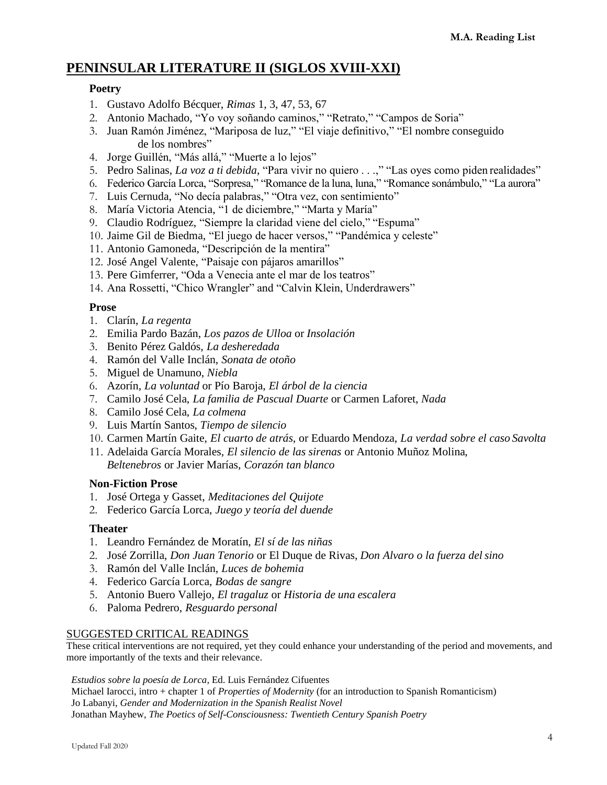# **PENINSULAR LITERATURE II (SIGLOS XVIII-XXI)**

## **Poetry**

- 1. Gustavo Adolfo Bécquer, *Rimas* 1, 3, 47, 53, 67
- 2. Antonio Machado, "Yo voy soñando caminos," "Retrato," "Campos de Soria"
- 3. Juan Ramón Jiménez, "Mariposa de luz," "El viaje definitivo," "El nombre conseguido de los nombres"
- 4. Jorge Guillén, "Más allá," "Muerte a lo lejos"
- 5. Pedro Salinas, *La voz a ti debida*, "Para vivir no quiero . . .," "Las oyes como piden realidades"
- 6. Federico García Lorca, "Sorpresa," "Romance de la luna, luna," "Romance sonámbulo," "La aurora"
- 7. Luis Cernuda, "No decía palabras," "Otra vez, con sentimiento"
- 8. María Victoria Atencia, "1 de diciembre," "Marta y María"
- 9. Claudio Rodríguez, "Siempre la claridad viene del cielo," "Espuma"
- 10. Jaime Gil de Biedma, "El juego de hacer versos," "Pandémica y celeste"
- 11. Antonio Gamoneda, "Descripción de la mentira"
- 12. José Angel Valente, "Paisaje con pájaros amarillos"
- 13. Pere Gimferrer, "Oda a Venecia ante el mar de los teatros"
- 14. Ana Rossetti, "Chico Wrangler" and "Calvin Klein, Underdrawers"

## **Prose**

- 1. Clarín, *La regenta*
- 2. Emilia Pardo Bazán, *Los pazos de Ulloa* or *Insolación*
- 3. Benito Pérez Galdós, *La desheredada*
- 4. Ramón del Valle Inclán, *Sonata de otoño*
- 5. Miguel de Unamuno, *Niebla*
- 6. Azorín, *La voluntad* or Pío Baroja, *El árbol de la ciencia*
- 7. Camilo José Cela, *La familia de Pascual Duarte* or Carmen Laforet, *Nada*
- 8. Camilo José Cela, *La colmena*
- 9. Luis Martín Santos, *Tiempo de silencio*
- 10. Carmen Martín Gaite, *El cuarto de atrás*, or Eduardo Mendoza, *La verdad sobre el caso Savolta*
- 11. Adelaida García Morales, *El silencio de las sirenas* or Antonio Muñoz Molina, *Beltenebros* or Javier Marías, *Corazón tan blanco*

#### **Non-Fiction Prose**

- 1. José Ortega y Gasset, *Meditaciones del Quijote*
- 2. Federico García Lorca, *Juego y teoría del duende*

#### **Theater**

- 1. Leandro Fernández de Moratín, *El sí de las niñas*
- 2. José Zorrilla, *Don Juan Tenorio* or El Duque de Rivas, *Don Alvaro o la fuerza delsino*
- 3. Ramón del Valle Inclán, *Luces de bohemia*
- 4. Federico García Lorca, *Bodas de sangre*
- 5. Antonio Buero Vallejo, *El tragaluz* or *Historia de una escalera*
- 6. Paloma Pedrero, *Resguardo personal*

#### SUGGESTED CRITICAL READINGS

These critical interventions are not required, yet they could enhance your understanding of the period and movements, and more importantly of the texts and their relevance.

*Estudios sobre la poesía de Lorca*, Ed. Luis Fernández Cifuentes

Michael Iarocci, intro + chapter 1 of *Properties of Modernity* (for an introduction to Spanish Romanticism) Jo Labanyi, *Gender and Modernization in the Spanish Realist Novel* Jonathan Mayhew, *The Poetics of Self-Consciousness: Twentieth Century Spanish Poetry*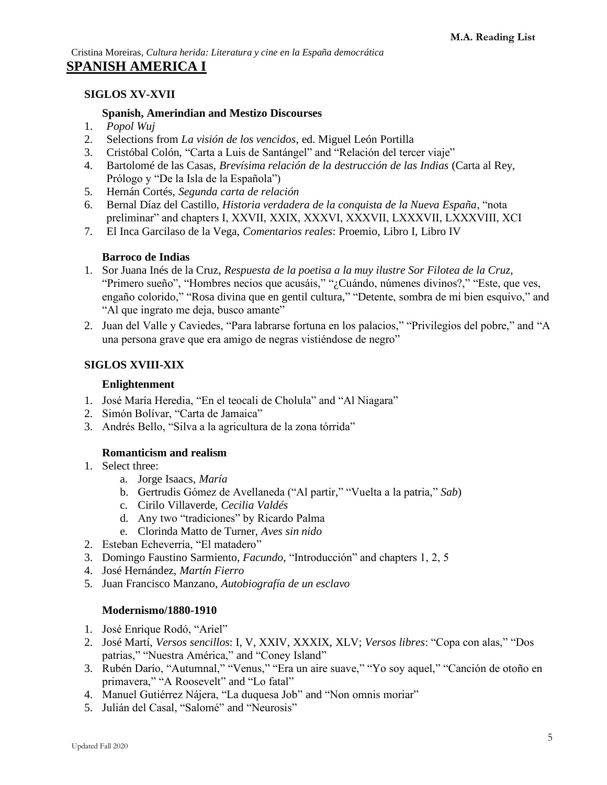## **SIGLOS XV-XVII**

#### **Spanish, Amerindian and Mestizo Discourses**

- 1. *Popol Wuj*
- 2. Selections from *La visión de los vencidos*, ed. Miguel León Portilla
- 3. Cristóbal Colón, "Carta a Luis de Santángel" and "Relación del tercer viaje"
- 4. Bartolomé de las Casas, *Brevísima relación de la destrucción de las Indias* (Carta al Rey, Prólogo y "De la Isla de la Española")
- 5. Hernán Cortés, *Segunda carta de relación*
- 6. Bernal Díaz del Castillo, *Historia verdadera de la conquista de la Nueva España*, "nota preliminar" and chapters I, XXVII, XXIX, XXXVI, XXXVII, LXXXVII, LXXXVIII, XCI
- 7. El Inca Garcilaso de la Vega, *Comentarios reales*: Proemio, Libro I, Libro IV

#### **Barroco de Indias**

- 1. Sor Juana Inés de la Cruz, *Respuesta de la poetisa a la muy ilustre Sor Filotea de la Cruz*, "Primero sueño", "Hombres necios que acusáis," "¿Cuándo, númenes divinos?," "Este, que ves, engaño colorido," "Rosa divina que en gentil cultura," "Detente, sombra de mi bien esquivo," and "Al que ingrato me deja, busco amante"
- 2. Juan del Valle y Caviedes, "Para labrarse fortuna en los palacios," "Privilegios del pobre," and "A una persona grave que era amigo de negras vistiéndose de negro"

#### **SIGLOS XVIII-XIX**

#### **Enlightenment**

- 1. José María Heredia, "En el teocali de Cholula" and "Al Niagara"
- 2. Simón Bolívar, "Carta de Jamaica"
- 3. Andrés Bello, "Silva a la agricultura de la zona tórrida"

#### **Romanticism and realism**

- 1. Select three:
	- a. Jorge Isaacs, *María*
	- b. Gertrudis Gómez de Avellaneda ("Al partir," "Vuelta a la patria," *Sab*)
	- c. Cirilo Villaverde, *Cecilia Valdés*
	- d. Any two "tradiciones" by Ricardo Palma
	- e. Clorinda Matto de Turner, *Aves sin nido*
- 2. Esteban Echeverría, "El matadero"
- 3. Domingo Faustino Sarmiento, *Facundo*, "Introducción" and chapters 1, 2, 5
- 4. José Hernández, *Martín Fierro*
- 5. Juan Francisco Manzano, *Autobiografía de un esclavo*

#### **Modernismo/1880-1910**

- 1. José Enrique Rodó, "Ariel"
- 2. José Martí, *Versos sencillos*: I, V, XXIV, XXXIX, XLV; *Versos libres*: "Copa con alas," "Dos patrias," "Nuestra América," and "Coney Island"
- 3. Rubén Darío, "Autumnal," "Venus," "Era un aire suave," "Yo soy aquel," "Canción de otoño en primavera," "A Roosevelt" and "Lo fatal"
- 4. Manuel Gutiérrez Nájera, "La duquesa Job" and "Non omnis moriar"
- 5. Julián del Casal, "Salomé" and "Neurosis"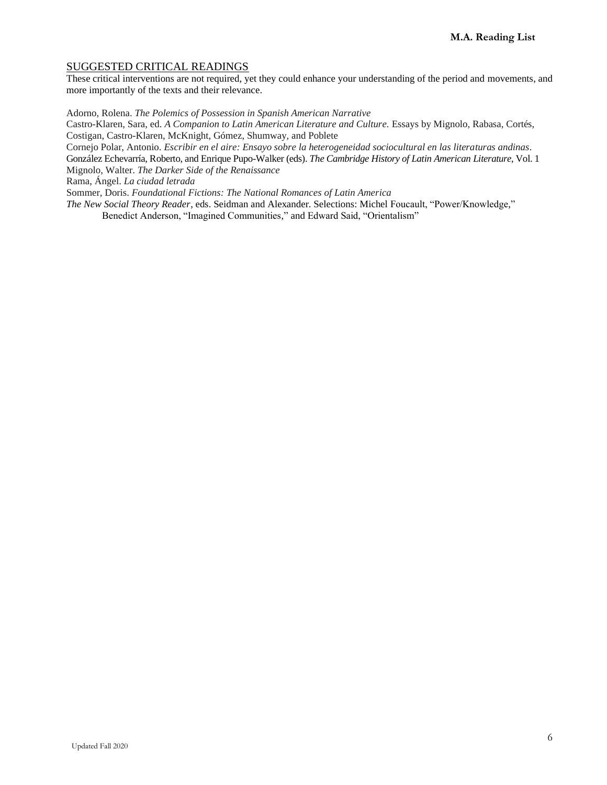#### SUGGESTED CRITICAL READINGS

These critical interventions are not required, yet they could enhance your understanding of the period and movements, and more importantly of the texts and their relevance.

Adorno, Rolena. *The Polemics of Possession in Spanish American Narrative* 

Castro-Klaren, Sara, ed. *A Companion to Latin American Literature and Culture.* Essays by Mignolo, Rabasa, Cortés, Costigan, Castro-Klaren, McKnight, Gómez, Shumway, and Poblete

Cornejo Polar, Antonio. *Escribir en el aire: Ensayo sobre la heterogeneidad sociocultural en las literaturas andinas*. González Echevarría, Roberto, and Enrique Pupo-Walker (eds). *The Cambridge History of Latin American Literature*, Vol. 1 Mignolo, Walter. *The Darker Side of the Renaissance*

Rama, Ángel. *La ciudad letrada*

Sommer, Doris. *Foundational Fictions: The National Romances of Latin America*

*The New Social Theory Reader*, eds. Seidman and Alexander. Selections: Michel Foucault, "Power/Knowledge," Benedict Anderson, "Imagined Communities," and Edward Said, "Orientalism"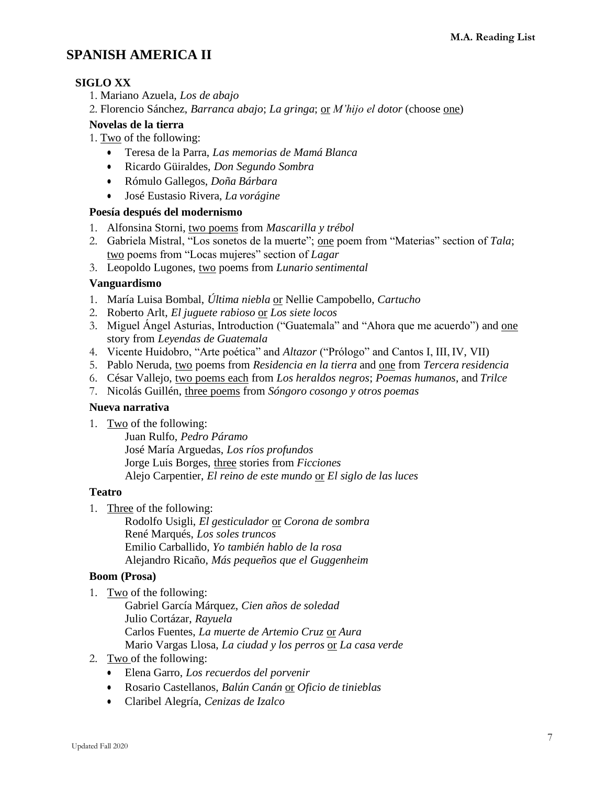# **SPANISH AMERICA II**

## **SIGLO XX**

- 1. Mariano Azuela, *Los de abajo*
- 2. Florencio Sánchez, *Barranca abajo*; *La gringa*; or *M'hijo el dotor* (choose one)

## **Novelas de la tierra**

- 1. Two of the following:
	- Teresa de la Parra, *Las memorias de Mamá Blanca*
	- Ricardo Güiraldes, *Don Segundo Sombra*
	- Rómulo Gallegos, *Doña Bárbara*
	- José Eustasio Rivera, *La vorágine*

### **Poesía después del modernismo**

- 1. Alfonsina Storni, two poems from *Mascarilla y trébol*
- 2. Gabriela Mistral, "Los sonetos de la muerte"; one poem from "Materias" section of *Tala*; two poems from "Locas mujeres" section of *Lagar*
- 3. Leopoldo Lugones, two poems from *Lunario sentimental*

## **Vanguardismo**

- 1. María Luisa Bombal, *Última niebla* or Nellie Campobello, *Cartucho*
- 2. Roberto Arlt, *El juguete rabioso* or *Los siete locos*
- 3. Miguel Ángel Asturias, Introduction ("Guatemala" and "Ahora que me acuerdo") and <u>one</u> story from *Leyendas de Guatemala*
- 4. Vicente Huidobro, "Arte poética" and *Altazor* ("Prólogo" and Cantos I, III, IV, VII)
- 5. Pablo Neruda, two poems from *Residencia en la tierra* and one from *Tercera residencia*
- 6. César Vallejo, two poems each from *Los heraldos negros*; *Poemas humanos*, and *Trilce*
- 7. Nicolás Guillén, three poems from *Sóngoro cosongo y otros poemas*

## **Nueva narrativa**

1. Two of the following:

Juan Rulfo, *Pedro Páramo* José María Arguedas, *Los ríos profundos* Jorge Luis Borges, three stories from *Ficciones* Alejo Carpentier, *El reino de este mundo* or *El siglo de las luces*

### **Teatro**

1. Three of the following:

Rodolfo Usigli, *El gesticulador* or *Corona de sombra* René Marqués, *Los soles truncos* Emilio Carballido, *Yo también hablo de la rosa* Alejandro Ricaño, *Más pequeños que el Guggenheim*

## **Boom (Prosa)**

- 1. Two of the following:
	- Gabriel García Márquez, *Cien años de soledad* Julio Cortázar, *Rayuela* Carlos Fuentes, *La muerte de Artemio Cruz* or *Aura* Mario Vargas Llosa, *La ciudad y los perros* or *La casa verde*
- 2. Two of the following:
	- Elena Garro, *Los recuerdos del porvenir*
	- Rosario Castellanos, *Balún Canán* or *Oficio de tinieblas*
	- Claribel Alegría, *Cenizas de Izalco*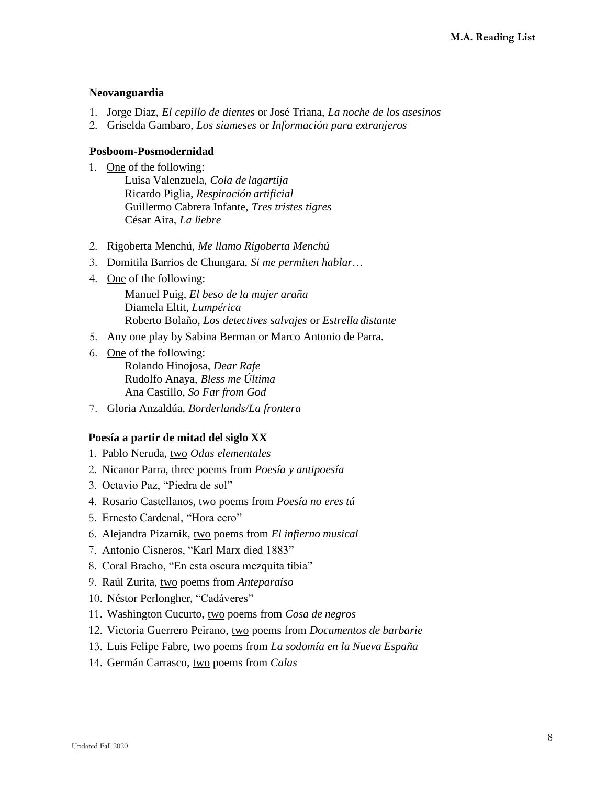### **Neovanguardia**

- 1. Jorge Díaz, *El cepillo de dientes* or José Triana, *La noche de los asesinos*
- 2. Griselda Gambaro, *Los siameses* or *Información para extranjeros*

## **Posboom-Posmodernidad**

- 1. One of the following:
	- Luisa Valenzuela, *Cola de lagartija* Ricardo Piglia, *Respiración artificial* Guillermo Cabrera Infante, *Tres tristes tigres* César Aira, *La liebre*
- 2. Rigoberta Menchú, *Me llamo Rigoberta Menchú*
- 3. Domitila Barrios de Chungara, *Si me permiten hablar*…
- 4. One of the following:

Manuel Puig, *El beso de la mujer araña* Diamela Eltit, *Lumpérica* Roberto Bolaño, *Los detectives salvajes* or *Estrella distante*

- 5. Any one play by Sabina Berman or Marco Antonio de Parra.
- 6. One of the following: Rolando Hinojosa, *Dear Rafe* Rudolfo Anaya, *Bless me Última* Ana Castillo, *So Far from God*
- 7. Gloria Anzaldúa, *Borderlands/La frontera*

## **Poesía a partir de mitad del siglo XX**

- 1. Pablo Neruda, two *Odas elementales*
- 2. Nicanor Parra, three poems from *Poesía y antipoesía*
- 3. Octavio Paz, "Piedra de sol"
- 4. Rosario Castellanos, two poems from *Poesía no eres tú*
- 5. Ernesto Cardenal, "Hora cero"
- 6. Alejandra Pizarnik, two poems from *El infierno musical*
- 7. Antonio Cisneros, "Karl Marx died 1883"
- 8. Coral Bracho, "En esta oscura mezquita tibia"
- 9. Raúl Zurita, two poems from *Anteparaíso*
- 10. Néstor Perlongher, "Cadáveres"
- 11. Washington Cucurto, two poems from *Cosa de negros*
- 12. Victoria Guerrero Peirano, two poems from *Documentos de barbarie*
- 13. Luis Felipe Fabre, two poems from *La sodomía en la Nueva España*
- 14. Germán Carrasco, two poems from *Calas*